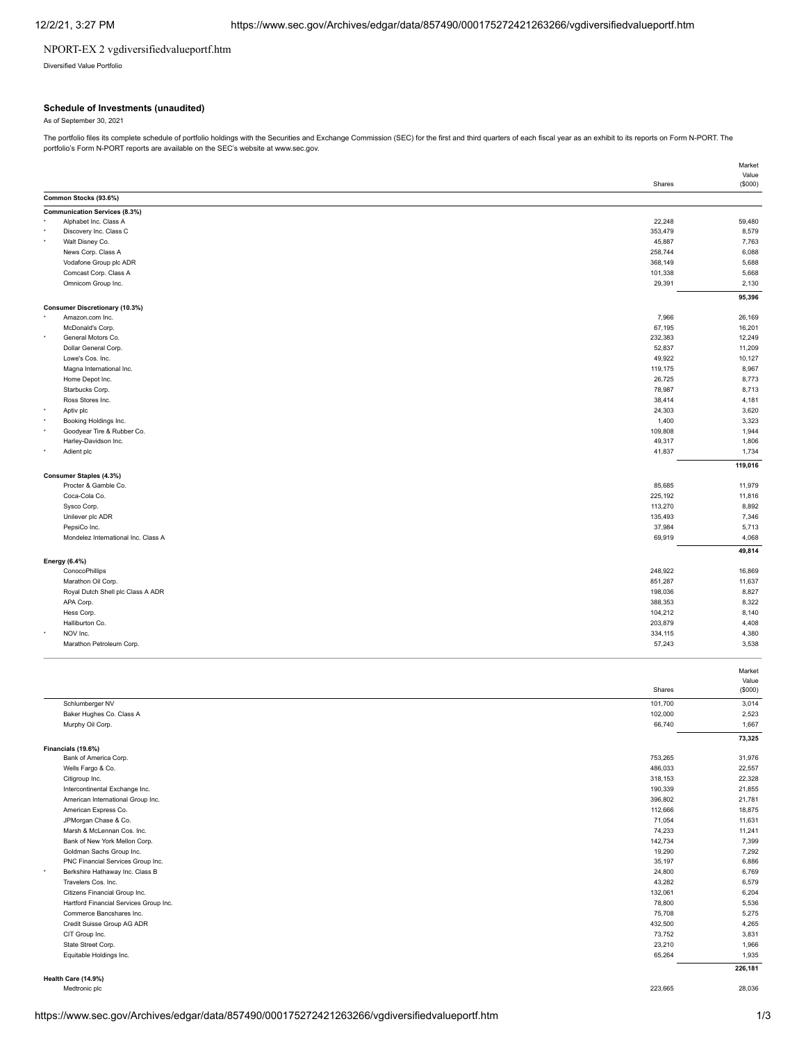## NPORT-EX 2 vgdiversifiedvalueportf.htm

Diversified Value Portfolio

### **Schedule of Investments (unaudited)**

As of September 30, 2021

The portfolio files its complete schedule of portfolio holdings with the Securities and Exchange Commission (SEC) for the first and third quarters of each fiscal year as an exhibit to its reports on Form N-PORT. The portfolio's Form N-PORT reports are available on the SEC's website at www.sec.gov.

|                                                  | Market  |
|--------------------------------------------------|---------|
|                                                  | Value   |
| Shares                                           | (\$000) |
| Common Stocks (93.6%)                            |         |
| <b>Communication Services (8.3%)</b>             |         |
| Alphabet Inc. Class A<br>22,248                  | 59,480  |
| Discovery Inc. Class C<br>353,479                | 8,579   |
| Walt Disney Co.<br>45,887                        | 7,763   |
| 258,744<br>News Corp. Class A                    | 6,088   |
| Vodafone Group plc ADR<br>368,149                | 5,688   |
| Comcast Corp. Class A<br>101,338                 | 5,668   |
| Omnicom Group Inc.<br>29,391                     | 2,130   |
|                                                  | 95,396  |
| Consumer Discretionary (10.3%)                   |         |
| 7,966<br>Amazon.com Inc.                         | 26,169  |
| McDonald's Corp.<br>67,195                       | 16,201  |
| General Motors Co.<br>232,383                    | 12,249  |
| Dollar General Corp.<br>52,837                   | 11,209  |
| 49,922<br>Lowe's Cos. Inc.                       | 10,127  |
| Magna International Inc.<br>119,175              | 8,967   |
| Home Depot Inc.<br>26,725                        | 8,773   |
| Starbucks Corp.<br>78,987                        | 8,713   |
| Ross Stores Inc.<br>38,414                       | 4,181   |
| Aptiv plc<br>24,303                              | 3,620   |
| Booking Holdings Inc.<br>1,400                   | 3,323   |
| Goodyear Tire & Rubber Co.<br>109,808            | 1,944   |
| 49,317<br>Harley-Davidson Inc.                   | 1,806   |
| Adient plc<br>41,837                             | 1,734   |
|                                                  | 119,016 |
| <b>Consumer Staples (4.3%)</b>                   |         |
| Procter & Gamble Co.<br>85,685                   | 11,979  |
| Coca-Cola Co.<br>225,192                         | 11,816  |
| 113,270<br>Sysco Corp.                           | 8,892   |
| Unilever plc ADR<br>135,493                      | 7,346   |
| PepsiCo Inc.<br>37,984                           | 5,713   |
| 69,919<br>Mondelez International Inc. Class A    | 4,068   |
|                                                  |         |
|                                                  | 49,814  |
| <b>Energy (6.4%)</b><br>248,922                  |         |
| ConocoPhillips                                   | 16,869  |
| Marathon Oil Corp.<br>851,287                    | 11,637  |
| Royal Dutch Shell plc Class A ADR<br>198,036     | 8,827   |
| APA Corp.<br>388,353                             | 8,322   |
| Hess Corp.<br>104,212                            | 8,140   |
| 203,879<br>Halliburton Co.                       | 4,408   |
| NOV Inc.<br>334,115                              | 4,380   |
| Marathon Petroleum Corp.<br>57,243               | 3,538   |
|                                                  |         |
|                                                  | Market  |
|                                                  | Value   |
| Shares                                           | (\$000) |
| Schlumberger NV<br>101,700                       | 3,014   |
| Baker Hughes Co. Class A<br>102,000              | 2,523   |
| Murphy Oil Corp.<br>66,740                       | 1,667   |
|                                                  | 73,325  |
| Financials (19.6%)                               |         |
| Bank of America Corp.<br>753,265                 | 31,976  |
| Wells Fargo & Co.<br>486,033                     | 22,557  |
| Citigroup Inc.<br>318,153                        | 22,328  |
| Intercontinental Exchange Inc.<br>190,339        | 21,855  |
| American International Group Inc.<br>396,802     | 21,781  |
| American Express Co.<br>112,666                  | 18,875  |
| JPMorgan Chase & Co.<br>71,054                   | 11,631  |
| Marsh & McLennan Cos. Inc.<br>74,233             | 11,241  |
| Bank of New York Mellon Corp.<br>142,734         | 7,399   |
| Goldman Sachs Group Inc.<br>19,290               | 7,292   |
| PNC Financial Services Group Inc.<br>35,197      | 6,886   |
| Berkshire Hathaway Inc. Class B<br>24,800        | 6,769   |
| Travelers Cos. Inc.<br>43,282                    | 6,579   |
| Citizens Financial Group Inc.<br>132,061         | 6,204   |
| Hartford Financial Services Group Inc.<br>78,800 | 5,536   |
| Commerce Bancshares Inc.<br>75,708               | 5,275   |
| Credit Suisse Group AG ADR<br>432,500            | 4,265   |
| CIT Group Inc.<br>73,752                         | 3,831   |
| State Street Corp.<br>23,210                     | 1,966   |
| Equitable Holdings Inc.<br>65,264                | 1,935   |
|                                                  |         |
| Health Care (14.9%)                              | 226,181 |
| Medtronic plc<br>223,665                         | 28,036  |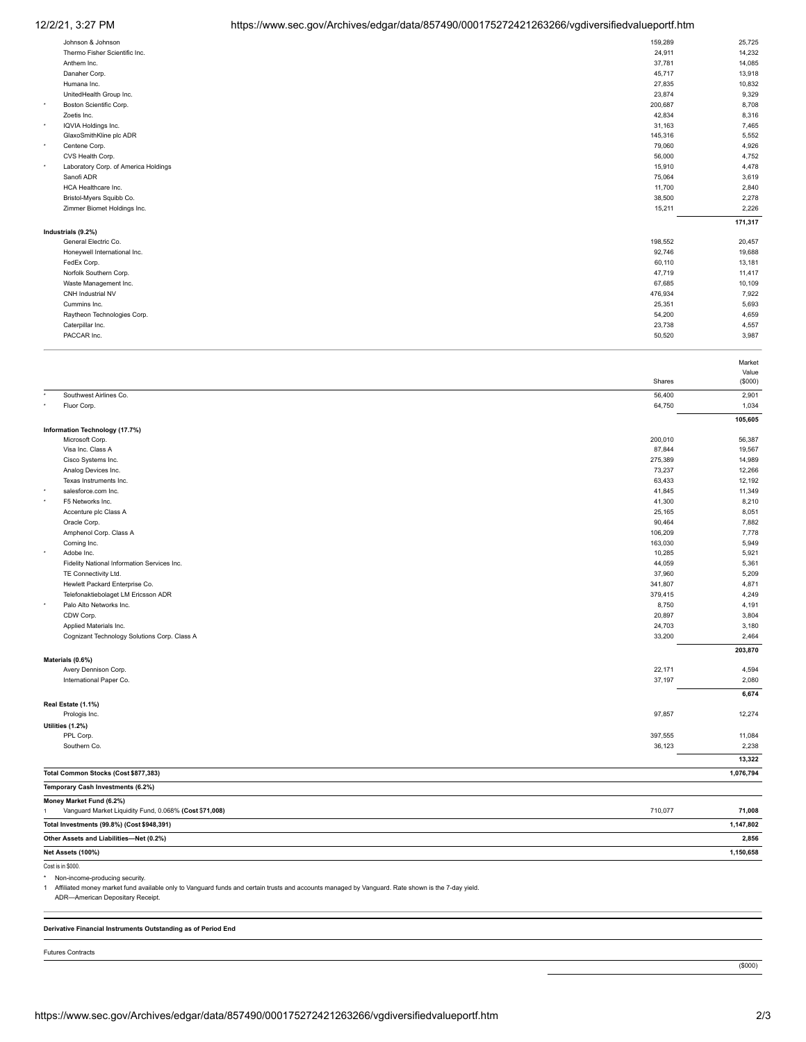# 12/2/21, 3:27 PM https://www.sec.gov/Archives/edgar/data/857490/000175272421263266/vgdiversifiedvalueportf.htm

|         | Johnson & Johnson                    | 159,289 | 25,725  |
|---------|--------------------------------------|---------|---------|
|         | Thermo Fisher Scientific Inc.        | 24,911  | 14,232  |
|         | Anthem Inc.                          | 37,781  | 14,085  |
|         | Danaher Corp.                        | 45,717  | 13,918  |
|         | Humana Inc.                          | 27,835  | 10,832  |
|         | UnitedHealth Group Inc.              | 23,874  | 9,329   |
| $\star$ | Boston Scientific Corp.              | 200,687 | 8,708   |
|         | Zoetis Inc.                          | 42,834  | 8,316   |
| $\star$ | IQVIA Holdings Inc.                  | 31,163  | 7,465   |
|         | GlaxoSmithKline plc ADR              | 145,316 | 5,552   |
| $\star$ | Centene Corp.                        | 79,060  | 4,926   |
|         | CVS Health Corp.                     | 56,000  | 4,752   |
| $\star$ | Laboratory Corp. of America Holdings | 15,910  | 4,478   |
|         | Sanofi ADR                           | 75,064  | 3,619   |
|         | HCA Healthcare Inc.                  | 11,700  | 2,840   |
|         | Bristol-Myers Squibb Co.             | 38,500  | 2,278   |
|         | Zimmer Biomet Holdings Inc.          | 15,211  | 2,226   |
|         |                                      |         | 171,317 |
|         | Industrials (9.2%)                   |         |         |
|         | General Electric Co.                 | 198,552 | 20,457  |
|         | Honeywell International Inc.         | 92,746  | 19,688  |
|         | FedEx Corp.                          | 60,110  | 13,181  |
|         | Norfolk Southern Corp.               | 47,719  | 11,417  |
|         | Waste Management Inc.                | 67,685  | 10,109  |
|         | CNH Industrial NV                    | 476,934 | 7,922   |
|         | Cummins Inc.                         | 25,351  | 5,693   |
|         | Raytheon Technologies Corp.          | 54,200  | 4,659   |
|         | Caterpillar Inc.                     | 23,738  | 4,557   |
|         | PACCAR Inc.                          | 50,520  | 3,987   |
|         |                                      |         |         |

|                   |                                                        |         | Market    |
|-------------------|--------------------------------------------------------|---------|-----------|
|                   |                                                        |         | Value     |
|                   |                                                        | Shares  | (\$000)   |
|                   | Southwest Airlines Co.                                 | 56,400  | 2,901     |
|                   | Fluor Corp.                                            | 64,750  | 1,034     |
|                   |                                                        |         | 105,605   |
|                   | Information Technology (17.7%)                         |         |           |
|                   | Microsoft Corp.                                        | 200,010 | 56,387    |
|                   | Visa Inc. Class A                                      | 87,844  | 19,567    |
|                   | Cisco Systems Inc.                                     | 275,389 | 14,989    |
|                   | Analog Devices Inc.                                    | 73,237  | 12,266    |
|                   | Texas Instruments Inc.                                 | 63,433  | 12,192    |
|                   | salesforce.com Inc.                                    | 41,845  | 11,349    |
|                   | F5 Networks Inc.                                       | 41,300  | 8,210     |
|                   | Accenture plc Class A                                  | 25,165  | 8,051     |
|                   | Oracle Corp.                                           | 90,464  | 7,882     |
|                   | Amphenol Corp. Class A                                 | 106,209 | 7,778     |
|                   | Corning Inc.                                           | 163,030 | 5,949     |
|                   | Adobe Inc.                                             | 10,285  | 5,921     |
|                   | Fidelity National Information Services Inc.            | 44,059  | 5,361     |
|                   | TE Connectivity Ltd.                                   | 37,960  | 5,209     |
|                   | Hewlett Packard Enterprise Co.                         | 341,807 | 4,871     |
|                   | Telefonaktiebolaget LM Ericsson ADR                    | 379,415 | 4,249     |
|                   | Palo Alto Networks Inc.                                | 8,750   | 4,191     |
|                   | CDW Corp.                                              | 20,897  | 3,804     |
|                   | Applied Materials Inc.                                 | 24,703  | 3,180     |
|                   | Cognizant Technology Solutions Corp. Class A           | 33,200  | 2,464     |
|                   |                                                        |         | 203,870   |
|                   | Materials (0.6%)                                       |         |           |
|                   | Avery Dennison Corp.                                   | 22,171  | 4,594     |
|                   | International Paper Co.                                | 37,197  | 2,080     |
|                   |                                                        |         | 6,674     |
|                   | Real Estate (1.1%)                                     |         |           |
|                   | Prologis Inc.                                          | 97,857  | 12,274    |
|                   | Utilities (1.2%)                                       |         |           |
|                   | PPL Corp.                                              | 397,555 | 11,084    |
|                   | Southern Co.                                           | 36,123  | 2,238     |
|                   |                                                        |         |           |
|                   |                                                        |         | 13,322    |
|                   | Total Common Stocks (Cost \$877,383)                   |         | 1,076,794 |
|                   | Temporary Cash Investments (6.2%)                      |         |           |
|                   | Money Market Fund (6.2%)                               |         |           |
|                   | Vanguard Market Liquidity Fund, 0.068% (Cost \$71,008) | 710,077 | 71,008    |
|                   | Total Investments (99.8%) (Cost \$948,391)             |         |           |
|                   | Other Assets and Liabilities-Net (0.2%)                |         | 2,856     |
| Net Assets (100%) |                                                        |         |           |
|                   | Cost is in \$000.                                      |         |           |

\* Non-income-producing security.

1 Affiliated money market fund available only to Vanguard funds and certain trusts and accounts managed by Vanguard. Rate shown is the 7-day yield.

Annual Honey Manuel 2012 - 2012<br>ADR—American Depositary Receipt.

**Derivative Financial Instruments Outstanding as of Period End**

Futures Contracts

(\$000)